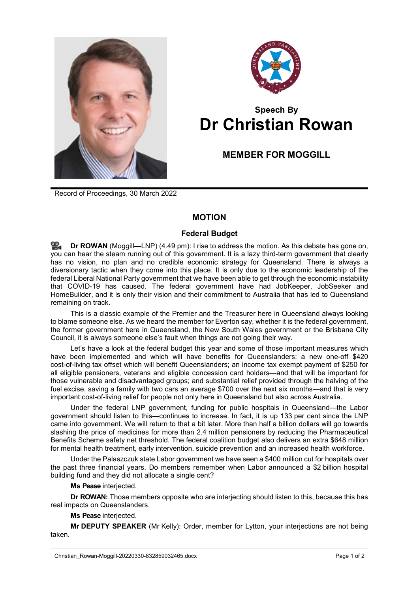



## **Speech By Dr Christian Rowan**

## **MEMBER FOR MOGGILL**

Record of Proceedings, 30 March 2022

## **MOTION**

## **Federal Budget**

**Dr [ROWAN](http://www.parliament.qld.gov.au/docs/find.aspx?id=0Mba20220330_164857)** (Moggill—LNP) (4.49 pm): I rise to address the motion. As this debate has gone on, you can hear the steam running out of this government. It is a lazy third-term government that clearly has no vision, no plan and no credible economic strategy for Queensland. There is always a diversionary tactic when they come into this place. It is only due to the economic leadership of the federal Liberal National Party government that we have been able to get through the economic instability that COVID-19 has caused. The federal government have had JobKeeper, JobSeeker and HomeBuilder, and it is only their vision and their commitment to Australia that has led to Queensland remaining on track.

This is a classic example of the Premier and the Treasurer here in Queensland always looking to blame someone else. As we heard the member for Everton say, whether it is the federal government, the former government here in Queensland, the New South Wales government or the Brisbane City Council, it is always someone else's fault when things are not going their way.

Let's have a look at the federal budget this year and some of those important measures which have been implemented and which will have benefits for Queenslanders: a new one-off \$420 cost-of-living tax offset which will benefit Queenslanders; an income tax exempt payment of \$250 for all eligible pensioners, veterans and eligible concession card holders—and that will be important for those vulnerable and disadvantaged groups; and substantial relief provided through the halving of the fuel excise, saving a family with two cars an average \$700 over the next six months—and that is very important cost-of-living relief for people not only here in Queensland but also across Australia.

Under the federal LNP government, funding for public hospitals in Queensland—the Labor government should listen to this—continues to increase. In fact, it is up 133 per cent since the LNP came into government. We will return to that a bit later. More than half a billion dollars will go towards slashing the price of medicines for more than 2.4 million pensioners by reducing the Pharmaceutical Benefits Scheme safety net threshold. The federal coalition budget also delivers an extra \$648 million for mental health treatment, early intervention, suicide prevention and an increased health workforce.

Under the Palaszczuk state Labor government we have seen a \$400 million cut for hospitals over the past three financial years. Do members remember when Labor announced a \$2 billion hospital building fund and they did not allocate a single cent?

**Ms Pease** interjected.

**Dr ROWAN:** Those members opposite who are interjecting should listen to this, because this has real impacts on Queenslanders.

**Ms Pease** interjected.

**Mr DEPUTY SPEAKER** (Mr Kelly): Order, member for Lytton, your interjections are not being taken.